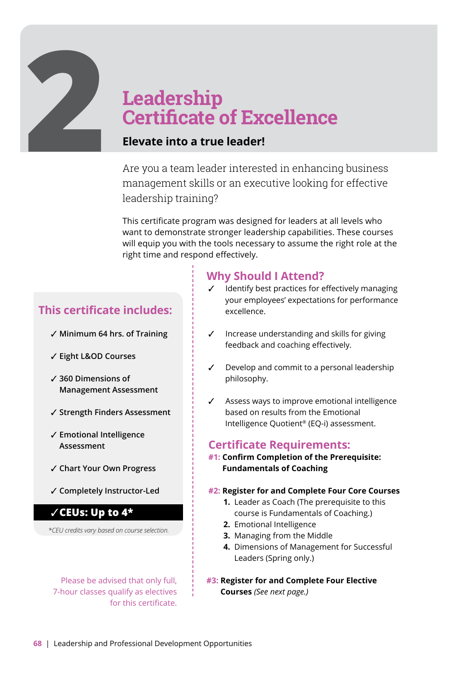# **2**<br>**2Leadership**<br>**Certificate Certificate of Excellence**

### **Elevate into a true leader!**

Are you a team leader interested in enhancing business management skills or an executive looking for effective leadership training?

This certificate program was designed for leaders at all levels who want to demonstrate stronger leadership capabilities. These courses will equip you with the tools necessary to assume the right role at the right time and respond effectively.

#### **This certificate includes:**

- ✓ **Minimum 64 hrs. of Training**
- ✓ **Eight L&OD Courses**
- ✓ **360 Dimensions of Management Assessment**
- ✓ **Strength Finders Assessment**
- ✓ **Emotional Intelligence Assessment**
- ✓ **Chart Your Own Progress**
- ✓ **Completely Instructor-Led**

#### ✓**CEUs: Up to 4\***

*\*CEU credits vary based on course selection.* 

 for this certificate. Please be advised that only full, 7-hour classes qualify as electives

### **Why Should I Attend?**

- Identify best practices for effectively managing your employees' expectations for performance excellence.
- ✓ Increase understanding and skills for giving feedback and coaching effectively.
- ✓ Develop and commit to a personal leadership philosophy.
- Assess ways to improve emotional intelligence based on results from the Emotional Intelligence Quotient® (EQ-i) assessment.

#### **Certificate Requirements:**

- **#1: Confirm Completion of the Prerequisite: Fundamentals of Coaching**
- **#2: Register for and Complete Four Core Courses**
	- **1.** Leader as Coach (The prerequisite to this course is Fundamentals of Coaching.)
	- **2.** Emotional Intelligence
	- **3.** Managing from the Middle
	- **4.** Dimensions of Management for Successful Leaders (Spring only.)
- **#3: Register for and Complete Four Elective Courses** *(See next page.)*